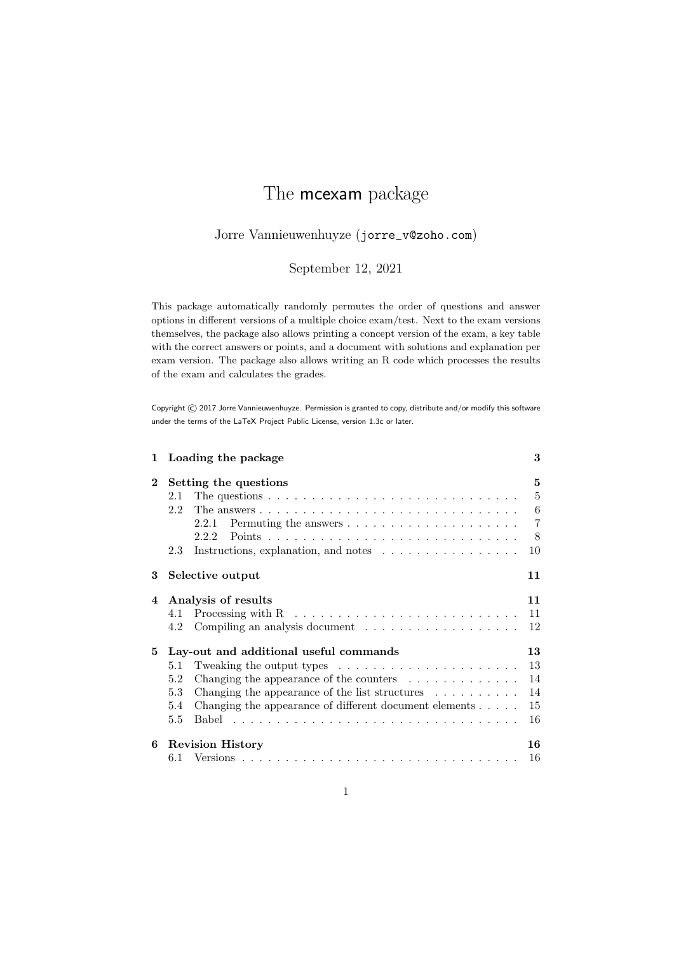# The mcexam package

# Jorre Vannieuwenhuyze (jorre\_v@zoho.com)

# September 12, 2021

This package automatically randomly permutes the order of questions and answer options in different versions of a multiple choice exam/test. Next to the exam versions themselves, the package also allows printing a concept version of the exam, a key table with the correct answers or points, and a document with solutions and explanation per exam version. The package also allows writing an R code which processes the results of the exam and calculates the grades.

Copyright © 2017 Jorre Vannieuwenhuyze. Permission is granted to copy, distribute and/or modify this software under the terms of the LaTeX Project Public License, version 1.3c or later.

| $\mathbf{1}$ | Loading the package                                                                                                                                                                                                                                                                                                                                               | 3                                                     |
|--------------|-------------------------------------------------------------------------------------------------------------------------------------------------------------------------------------------------------------------------------------------------------------------------------------------------------------------------------------------------------------------|-------------------------------------------------------|
| $\mathbf{2}$ | Setting the questions<br>The questions $\ldots \ldots \ldots \ldots \ldots \ldots \ldots \ldots \ldots \ldots$<br>2.1<br>2.2<br>2.2.1<br>2.2.2<br>Instructions, explanation, and notes $\dots \dots \dots \dots \dots$<br>2.3                                                                                                                                     | 5<br>$\overline{5}$<br>6<br>$\overline{7}$<br>8<br>10 |
| 3            | Selective output                                                                                                                                                                                                                                                                                                                                                  | 11                                                    |
| 4            | Analysis of results<br>4.1<br>4.2                                                                                                                                                                                                                                                                                                                                 | 11<br>11<br>12                                        |
| 5            | Lay-out and additional useful commands<br>Tweaking the output types $\ldots \ldots \ldots \ldots \ldots \ldots \ldots$<br>5.1<br>Changing the appearance of the counters $\dots \dots \dots \dots$<br>5.2<br>5.3<br>Changing the appearance of the list structures $\ldots \ldots \ldots$<br>Changing the appearance of different document elements<br>5.4<br>5.5 | 13<br>13<br>14<br>14<br>15<br>16                      |
| 6            | <b>Revision History</b>                                                                                                                                                                                                                                                                                                                                           | 16<br>16                                              |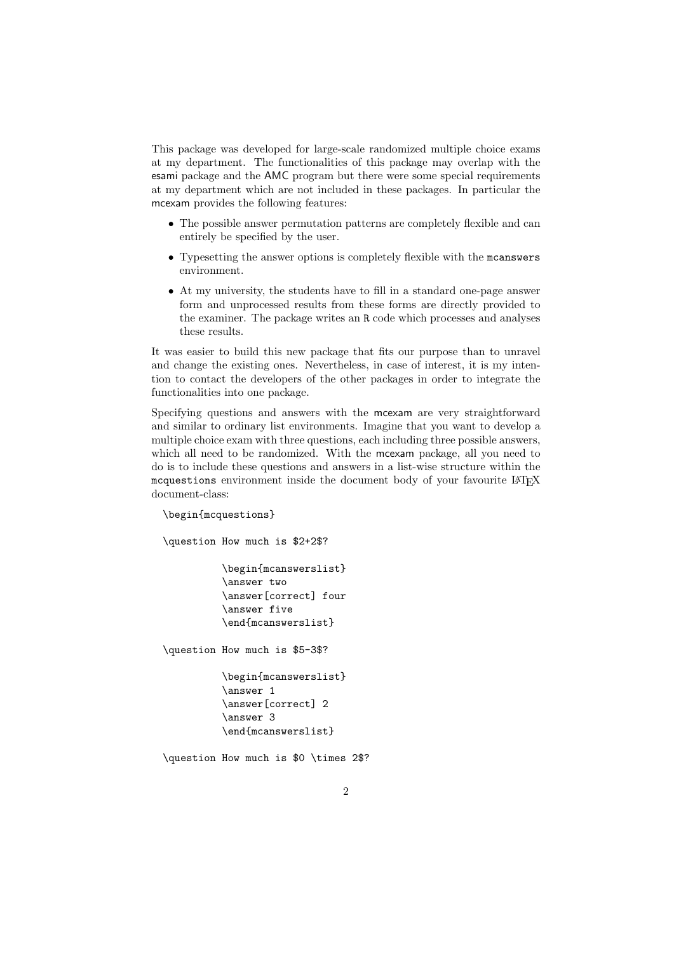This package was developed for large-scale randomized multiple choice exams at my department. The functionalities of this package may overlap with the esami package and the AMC program but there were some special requirements at my department which are not included in these packages. In particular the mcexam provides the following features:

- The possible answer permutation patterns are completely flexible and can entirely be specified by the user.
- Typesetting the answer options is completely flexible with the mcanswers environment.
- At my university, the students have to fill in a standard one-page answer form and unprocessed results from these forms are directly provided to the examiner. The package writes an R code which processes and analyses these results.

It was easier to build this new package that fits our purpose than to unravel and change the existing ones. Nevertheless, in case of interest, it is my intention to contact the developers of the other packages in order to integrate the functionalities into one package.

Specifying questions and answers with the mcexam are very straightforward and similar to ordinary list environments. Imagine that you want to develop a multiple choice exam with three questions, each including three possible answers, which all need to be randomized. With the mcexam package, all you need to do is to include these questions and answers in a list-wise structure within the mcquestions environment inside the document body of your favourite LATEX document-class:

\begin{mcquestions} \question How much is \$2+2\$? \begin{mcanswerslist} \answer two \answer[correct] four \answer five \end{mcanswerslist} \question How much is \$5-3\$? \begin{mcanswerslist} \answer 1 \answer[correct] 2 \answer 3 \end{mcanswerslist} \question How much is \$0 \times 2\$?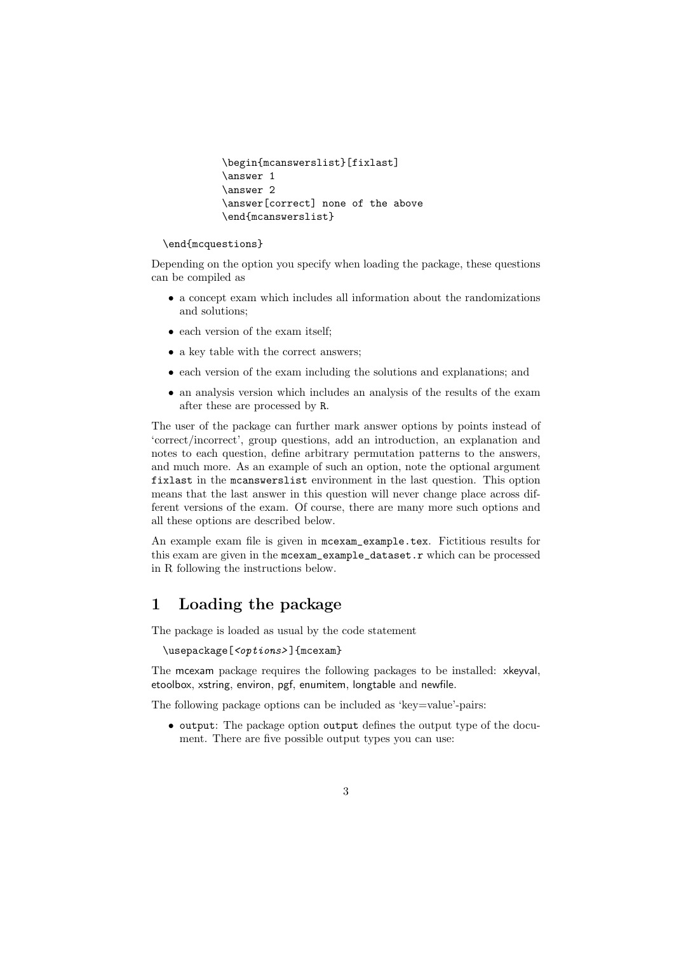```
\begin{mcanswerslist}[fixlast]
\answer 1
\answer 2
\answer[correct] none of the above
\end{mcanswerslist}
```
#### \end{mcquestions}

Depending on the option you specify when loading the package, these questions can be compiled as

- a concept exam which includes all information about the randomizations and solutions;
- each version of the exam itself;
- a key table with the correct answers;
- each version of the exam including the solutions and explanations; and
- an analysis version which includes an analysis of the results of the exam after these are processed by R.

The user of the package can further mark answer options by points instead of 'correct/incorrect', group questions, add an introduction, an explanation and notes to each question, define arbitrary permutation patterns to the answers, and much more. As an example of such an option, note the optional argument fixlast in the mcanswerslist environment in the last question. This option means that the last answer in this question will never change place across different versions of the exam. Of course, there are many more such options and all these options are described below.

An example exam file is given in mcexam\_example.tex. Fictitious results for this exam are given in the mcexam\_example\_dataset.r which can be processed in R following the instructions below.

# 1 Loading the package

The package is loaded as usual by the code statement

\usepackage[<options>]{mcexam}

The mcexam package requires the following packages to be installed: xkeyval, etoolbox, xstring, environ, pgf, enumitem, longtable and newfile.

The following package options can be included as 'key=value'-pairs:

• output: The package option output defines the output type of the document. There are five possible output types you can use: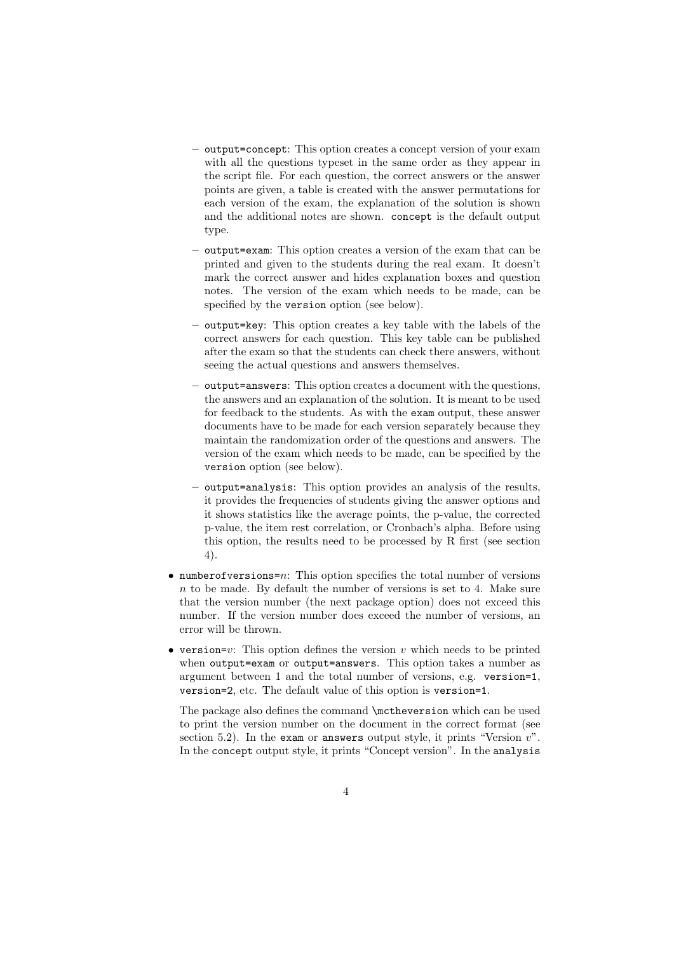- output=concept: This option creates a concept version of your exam with all the questions typeset in the same order as they appear in the script file. For each question, the correct answers or the answer points are given, a table is created with the answer permutations for each version of the exam, the explanation of the solution is shown and the additional notes are shown. concept is the default output type.
- output=exam: This option creates a version of the exam that can be printed and given to the students during the real exam. It doesn't mark the correct answer and hides explanation boxes and question notes. The version of the exam which needs to be made, can be specified by the version option (see below).
- output=key: This option creates a key table with the labels of the correct answers for each question. This key table can be published after the exam so that the students can check there answers, without seeing the actual questions and answers themselves.
- output=answers: This option creates a document with the questions, the answers and an explanation of the solution. It is meant to be used for feedback to the students. As with the exam output, these answer documents have to be made for each version separately because they maintain the randomization order of the questions and answers. The version of the exam which needs to be made, can be specified by the version option (see below).
- output=analysis: This option provides an analysis of the results, it provides the frequencies of students giving the answer options and it shows statistics like the average points, the p-value, the corrected p-value, the item rest correlation, or Cronbach's alpha. Before using this option, the results need to be processed by R first (see section 4).
- numberofversions=n: This option specifies the total number of versions  $n$  to be made. By default the number of versions is set to 4. Make sure that the version number (the next package option) does not exceed this number. If the version number does exceed the number of versions, an error will be thrown.
- version=v: This option defines the version  $v$  which needs to be printed when output=exam or output=answers. This option takes a number as argument between 1 and the total number of versions, e.g. version=1, version=2, etc. The default value of this option is version=1.

The package also defines the command \mctheversion which can be used to print the version number on the document in the correct format (see section 5.2). In the exam or answers output style, it prints "Version  $v$ ". In the concept output style, it prints "Concept version". In the analysis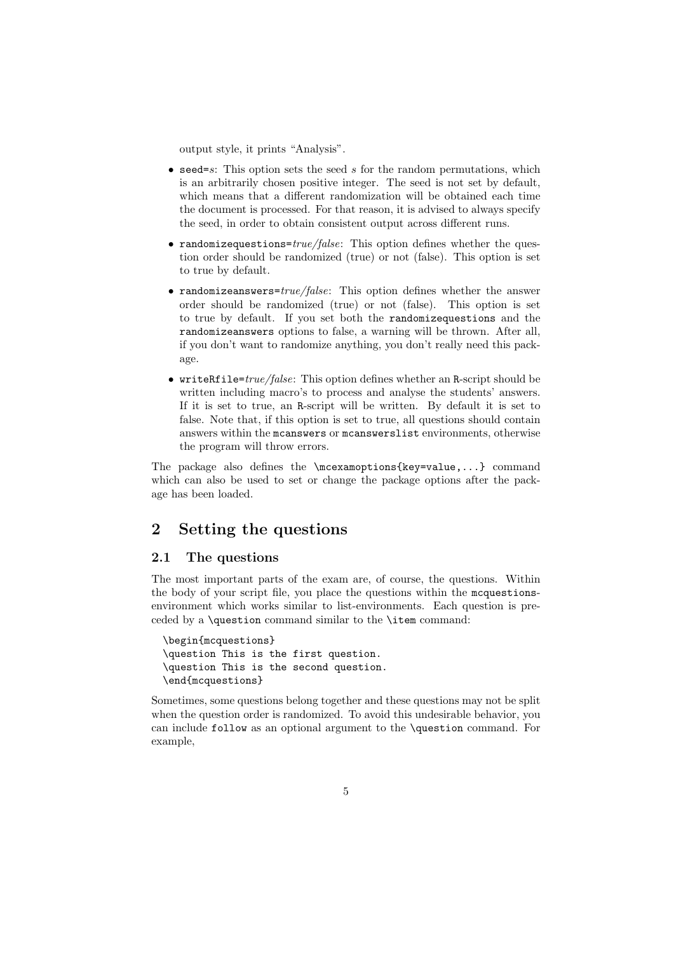output style, it prints "Analysis".

- seed=s: This option sets the seed  $s$  for the random permutations, which is an arbitrarily chosen positive integer. The seed is not set by default, which means that a different randomization will be obtained each time the document is processed. For that reason, it is advised to always specify the seed, in order to obtain consistent output across different runs.
- randomizequestions= $true/false$ : This option defines whether the question order should be randomized (true) or not (false). This option is set to true by default.
- randomizeanswers= $true/false$ : This option defines whether the answer order should be randomized (true) or not (false). This option is set to true by default. If you set both the randomizequestions and the randomizeanswers options to false, a warning will be thrown. After all, if you don't want to randomize anything, you don't really need this package.
- writeRfile= $true/false$ : This option defines whether an R-script should be written including macro's to process and analyse the students' answers. If it is set to true, an R-script will be written. By default it is set to false. Note that, if this option is set to true, all questions should contain answers within the mcanswers or mcanswerslist environments, otherwise the program will throw errors.

The package also defines the \mcexamoptions{key=value,...} command which can also be used to set or change the package options after the package has been loaded.

# 2 Setting the questions

### 2.1 The questions

The most important parts of the exam are, of course, the questions. Within the body of your script file, you place the questions within the mcquestionsenvironment which works similar to list-environments. Each question is preceded by a \question command similar to the \item command:

```
\begin{mcquestions}
\question This is the first question.
\question This is the second question.
\end{mcquestions}
```
Sometimes, some questions belong together and these questions may not be split when the question order is randomized. To avoid this undesirable behavior, you can include follow as an optional argument to the \question command. For example,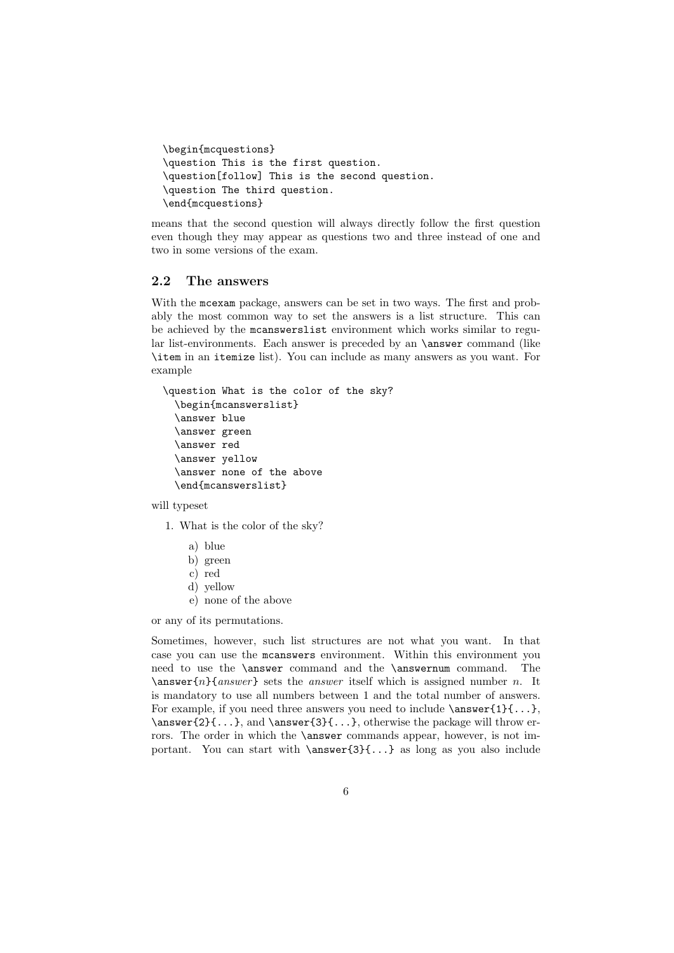```
\begin{mcquestions}
\question This is the first question.
\question[follow] This is the second question.
\question The third question.
\end{mcquestions}
```
means that the second question will always directly follow the first question even though they may appear as questions two and three instead of one and two in some versions of the exam.

### 2.2 The answers

With the mcexam package, answers can be set in two ways. The first and probably the most common way to set the answers is a list structure. This can be achieved by the mcanswerslist environment which works similar to regular list-environments. Each answer is preceded by an \answer command (like \item in an itemize list). You can include as many answers as you want. For example

```
\question What is the color of the sky?
  \begin{mcanswerslist}
  \answer blue
  \answer green
  \answer red
  \answer yellow
  \answer none of the above
  \end{mcanswerslist}
```
will typeset

1. What is the color of the sky?

- a) blue
- b) green
- c) red
- d) yellow
- e) none of the above

or any of its permutations.

Sometimes, however, such list structures are not what you want. In that case you can use the mcanswers environment. Within this environment you need to use the \answer command and the \answernum command. The  $\langle$  answer{n}{answer} sets the answer itself which is assigned number n. It is mandatory to use all numbers between 1 and the total number of answers. For example, if you need three answers you need to include  $\{\text{1}\{\ldots\}$ , \answer{2}{...}, and \answer{3}{...}, otherwise the package will throw errors. The order in which the **\answer** commands appear, however, is not important. You can start with  $\{\ansewer\{3\}...\}$  as long as you also include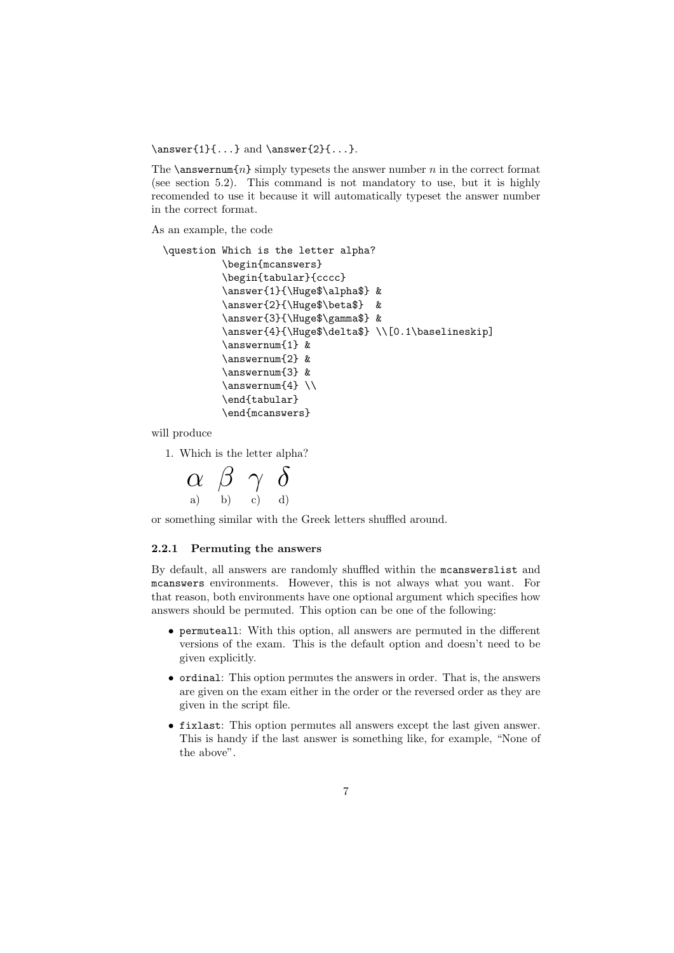$\langle 1]{...}$  and  $\langle 2]{...}$ .

The  $\gamma\$  simply typesets the answer number n in the correct format (see section 5.2). This command is not mandatory to use, but it is highly recomended to use it because it will automatically typeset the answer number in the correct format.

As an example, the code

```
\question Which is the letter alpha?
          \begin{mcanswers}
          \begin{tabular}{cccc}
          \answer{1}{\Huge$\alpha$} &
          \answer{2}{\Huge$\beta$} &
          \answer{3}{\Huge$\gamma$} &
          \answer{4}{\Huge$\delta$} \\[0.1\baselineskip]
          \answernum{1} &
          \answernum{2} &
          \answernum{3} &
          \answernum{4} \\
          \end{tabular}
          \end{mcanswers}
```
will produce

1. Which is the letter alpha?

$$
\alpha \ \beta \ \gamma \ \delta \quad \lambda \quad \delta
$$

or something similar with the Greek letters shuffled around.

#### 2.2.1 Permuting the answers

By default, all answers are randomly shuffled within the mcanswerslist and mcanswers environments. However, this is not always what you want. For that reason, both environments have one optional argument which specifies how answers should be permuted. This option can be one of the following:

- permuteall: With this option, all answers are permuted in the different versions of the exam. This is the default option and doesn't need to be given explicitly.
- ordinal: This option permutes the answers in order. That is, the answers are given on the exam either in the order or the reversed order as they are given in the script file.
- fixlast: This option permutes all answers except the last given answer. This is handy if the last answer is something like, for example, "None of the above".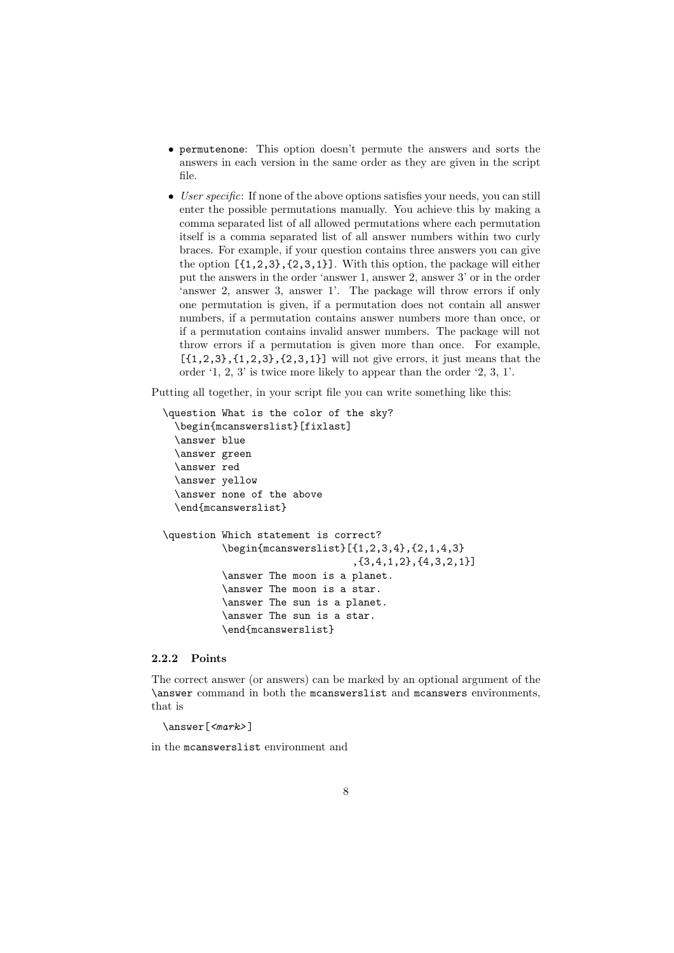- permutenone: This option doesn't permute the answers and sorts the answers in each version in the same order as they are given in the script file.
- User specific: If none of the above options satisfies your needs, you can still enter the possible permutations manually. You achieve this by making a comma separated list of all allowed permutations where each permutation itself is a comma separated list of all answer numbers within two curly braces. For example, if your question contains three answers you can give the option  $[{1,2,3}, {2,3,1}]$ . With this option, the package will either put the answers in the order 'answer 1, answer 2, answer 3' or in the order 'answer 2, answer 3, answer 1'. The package will throw errors if only one permutation is given, if a permutation does not contain all answer numbers, if a permutation contains answer numbers more than once, or if a permutation contains invalid answer numbers. The package will not throw errors if a permutation is given more than once. For example,  $[{1,2,3}, {1,2,3}, {2,3,1}]$  will not give errors, it just means that the order '1, 2, 3' is twice more likely to appear than the order '2, 3, 1'.

Putting all together, in your script file you can write something like this:

```
\question What is the color of the sky?
  \begin{mcanswerslist}[fixlast]
  \answer blue
  \answer green
  \answer red
  \answer yellow
  \answer none of the above
  \end{mcanswerslist}
\question Which statement is correct?
          \begin{mcanswerslist}[{1,2,3,4},{2,1,4,3}
                                 ,{3,4,1,2},{4,3,2,1}]
          \answer The moon is a planet.
          \answer The moon is a star.
          \answer The sun is a planet.
          \answer The sun is a star.
          \end{mcanswerslist}
```
#### 2.2.2 Points

The correct answer (or answers) can be marked by an optional argument of the \answer command in both the mcanswerslist and mcanswers environments, that is

 $\langle$ answer[  $\langle$ mark>]</sub>

in the mcanswerslist environment and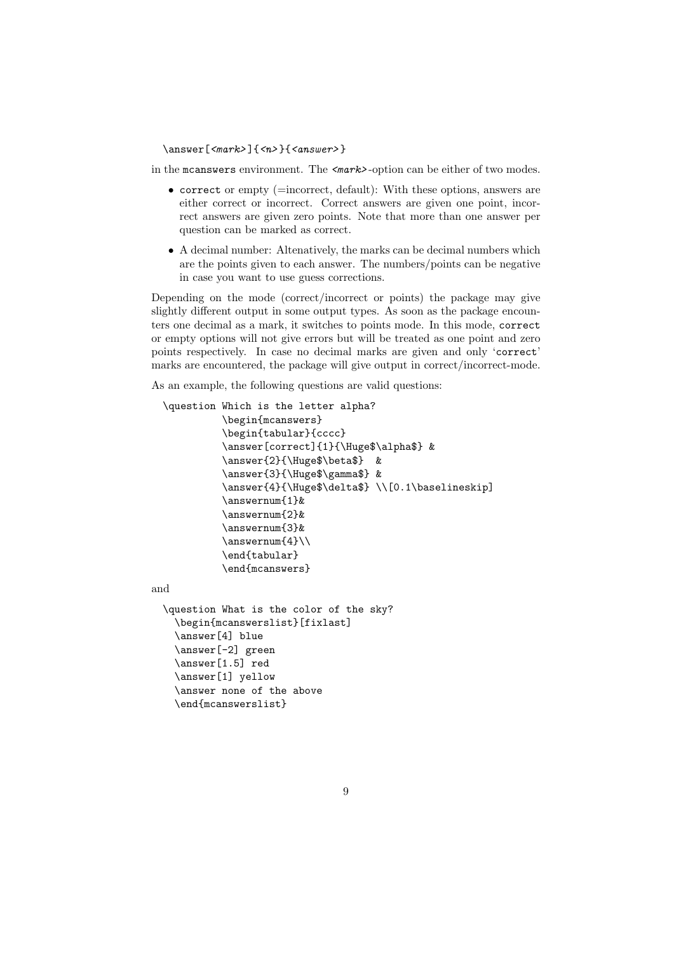#### $\langle$ answer[  $\langle$ mark>] $\{$  <n>}{ $\langle$ answer>}

in the mcanswers environment. The <mark>-option can be either of two modes.

- correct or empty (=incorrect, default): With these options, answers are either correct or incorrect. Correct answers are given one point, incorrect answers are given zero points. Note that more than one answer per question can be marked as correct.
- A decimal number: Altenatively, the marks can be decimal numbers which are the points given to each answer. The numbers/points can be negative in case you want to use guess corrections.

Depending on the mode (correct/incorrect or points) the package may give slightly different output in some output types. As soon as the package encounters one decimal as a mark, it switches to points mode. In this mode, correct or empty options will not give errors but will be treated as one point and zero points respectively. In case no decimal marks are given and only 'correct' marks are encountered, the package will give output in correct/incorrect-mode.

As an example, the following questions are valid questions:

```
\question Which is the letter alpha?
            \begin{mcanswers}
            \begin{tabular}{cccc}
            \answer[correct]{1}{\Huge$\alpha$} &
            \answer{2}{\Huge$\beta$} &
            \answer{3}{\Huge$\gamma$} &
            \answer{4}{\Huge$\delta$} \\[0.1\baselineskip]
            \answernum{1}&
            \answernum{2}&
            \answernum{3}&
            \answernum{4}\\
            \end{tabular}
            \end{mcanswers}
and
  \question What is the color of the sky?
    \begin{mcanswerslist}[fixlast]
```

```
\answer[4] blue
\answer[-2] green
\answer[1.5] red
\answer[1] yellow
\answer none of the above
\end{mcanswerslist}
```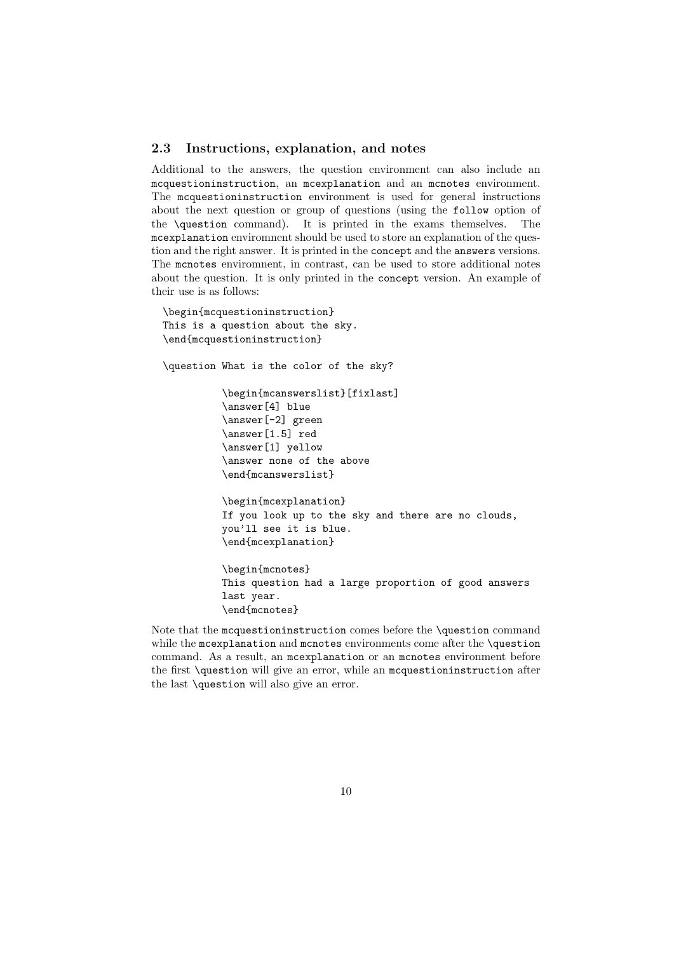#### 2.3 Instructions, explanation, and notes

Additional to the answers, the question environment can also include an mcquestioninstruction, an mcexplanation and an mcnotes environment. The mcquestioninstruction environment is used for general instructions about the next question or group of questions (using the follow option of the \question command). It is printed in the exams themselves. The mcexplanation enviromnent should be used to store an explanation of the question and the right answer. It is printed in the concept and the answers versions. The mcnotes enviromnent, in contrast, can be used to store additional notes about the question. It is only printed in the concept version. An example of their use is as follows:

```
\begin{mcquestioninstruction}
This is a question about the sky.
\end{mcquestioninstruction}
\question What is the color of the sky?
          \begin{mcanswerslist}[fixlast]
          \answer[4] blue
          \answer[-2] green
          \answer[1.5] red
          \answer[1] yellow
          \answer none of the above
          \end{mcanswerslist}
          \begin{mcexplanation}
          If you look up to the sky and there are no clouds,
          you'll see it is blue.
          \end{mcexplanation}
          \begin{mcnotes}
          This question had a large proportion of good answers
          last year.
          \end{mcnotes}
```
Note that the mcquestioninstruction comes before the \question command while the mcexplanation and mcnotes environments come after the \question command. As a result, an mcexplanation or an mcnotes environment before the first \question will give an error, while an mcquestioninstruction after the last \question will also give an error.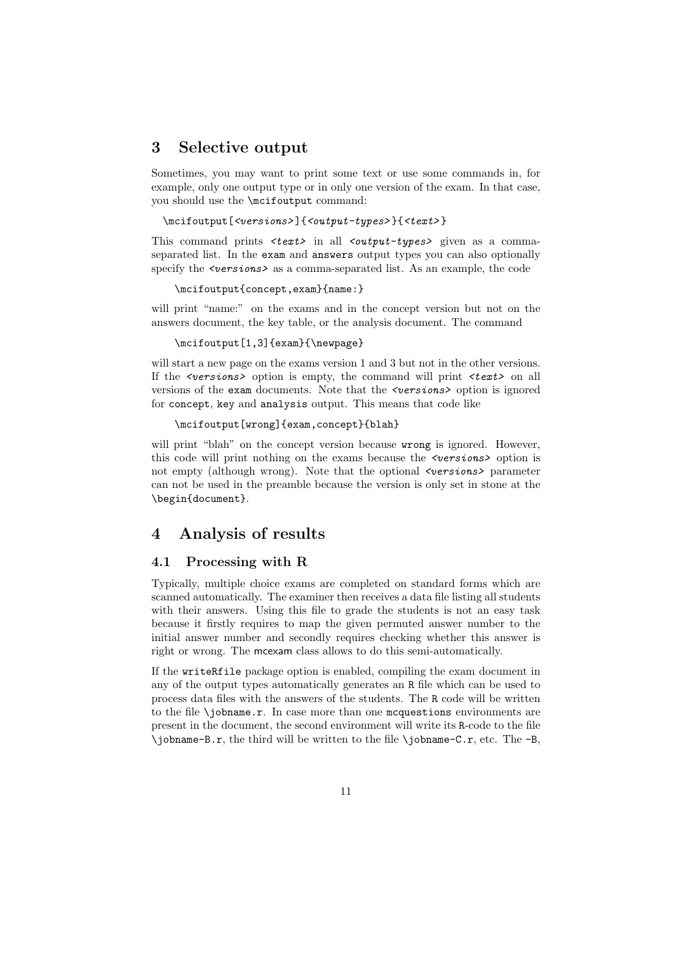# 3 Selective output

Sometimes, you may want to print some text or use some commands in, for example, only one output type or in only one version of the exam. In that case, you should use the \mcifoutput command:

```
\mcifoutput[<versions>]{<output-types>}{<text>}
```
This command prints <text> in all <output-types> given as a commaseparated list. In the exam and answers output types you can also optionally specify the  $\leq$   $\leq$   $\leq$   $\leq$  as a comma-separated list. As an example, the code

\mcifoutput{concept,exam}{name:}

will print "name:" on the exams and in the concept version but not on the answers document, the key table, or the analysis document. The command

#### \mcifoutput[1,3]{exam}{\newpage}

will start a new page on the exams version 1 and 3 but not in the other versions. If the  $\leq$  versions> option is empty, the command will print  $\leq$  text> on all versions of the exam documents. Note that the *sversions* option is ignored for concept, key and analysis output. This means that code like

```
\mcifoutput[wrong]{exam,concept}{blah}
```
will print "blah" on the concept version because wrong is ignored. However, this code will print nothing on the exams because the  $\leq$  versions > option is not empty (although wrong). Note that the optional  $\leq$  versions> parameter can not be used in the preamble because the version is only set in stone at the \begin{document}.

# 4 Analysis of results

### 4.1 Processing with R

Typically, multiple choice exams are completed on standard forms which are scanned automatically. The examiner then receives a data file listing all students with their answers. Using this file to grade the students is not an easy task because it firstly requires to map the given permuted answer number to the initial answer number and secondly requires checking whether this answer is right or wrong. The mcexam class allows to do this semi-automatically.

If the writeRfile package option is enabled, compiling the exam document in any of the output types automatically generates an R file which can be used to process data files with the answers of the students. The R code will be written to the file \jobname.r. In case more than one mcquestions environments are present in the document, the second environment will write its R-code to the file  $\iota$  iobname-B.r, the third will be written to the file  $\iota$  iobname-C.r, etc. The -B,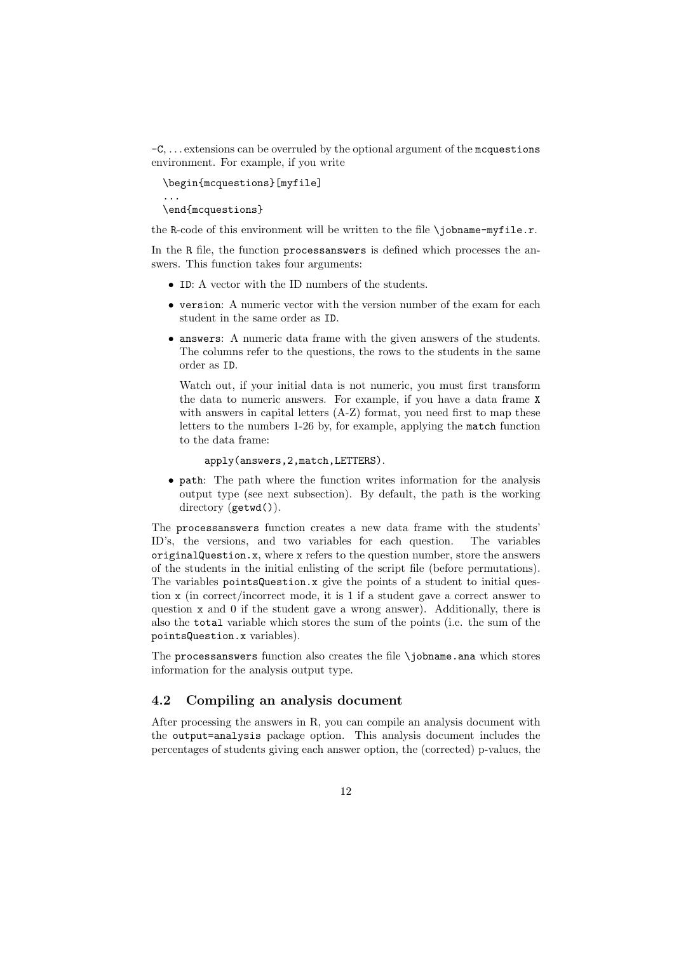$-C, \ldots$  extensions can be overruled by the optional argument of the mcquestions environment. For example, if you write

\begin{mcquestions}[myfile] ... \end{mcquestions}

the R-code of this environment will be written to the file \jobname-myfile.r.

In the R file, the function processanswers is defined which processes the answers. This function takes four arguments:

- ID: A vector with the ID numbers of the students.
- version: A numeric vector with the version number of the exam for each student in the same order as ID.
- answers: A numeric data frame with the given answers of the students. The columns refer to the questions, the rows to the students in the same order as ID.

Watch out, if your initial data is not numeric, you must first transform the data to numeric answers. For example, if you have a data frame X with answers in capital letters (A-Z) format, you need first to map these letters to the numbers 1-26 by, for example, applying the match function to the data frame:

#### apply(answers,2,match,LETTERS).

• path: The path where the function writes information for the analysis output type (see next subsection). By default, the path is the working directory (getwd()).

The processanswers function creates a new data frame with the students' ID's, the versions, and two variables for each question. The variables originalQuestion.x, where x refers to the question number, store the answers of the students in the initial enlisting of the script file (before permutations). The variables pointsQuestion.x give the points of a student to initial question x (in correct/incorrect mode, it is 1 if a student gave a correct answer to question x and 0 if the student gave a wrong answer). Additionally, there is also the total variable which stores the sum of the points (i.e. the sum of the pointsQuestion.x variables).

The processanswers function also creates the file \jobname.ana which stores information for the analysis output type.

### 4.2 Compiling an analysis document

After processing the answers in R, you can compile an analysis document with the output=analysis package option. This analysis document includes the percentages of students giving each answer option, the (corrected) p-values, the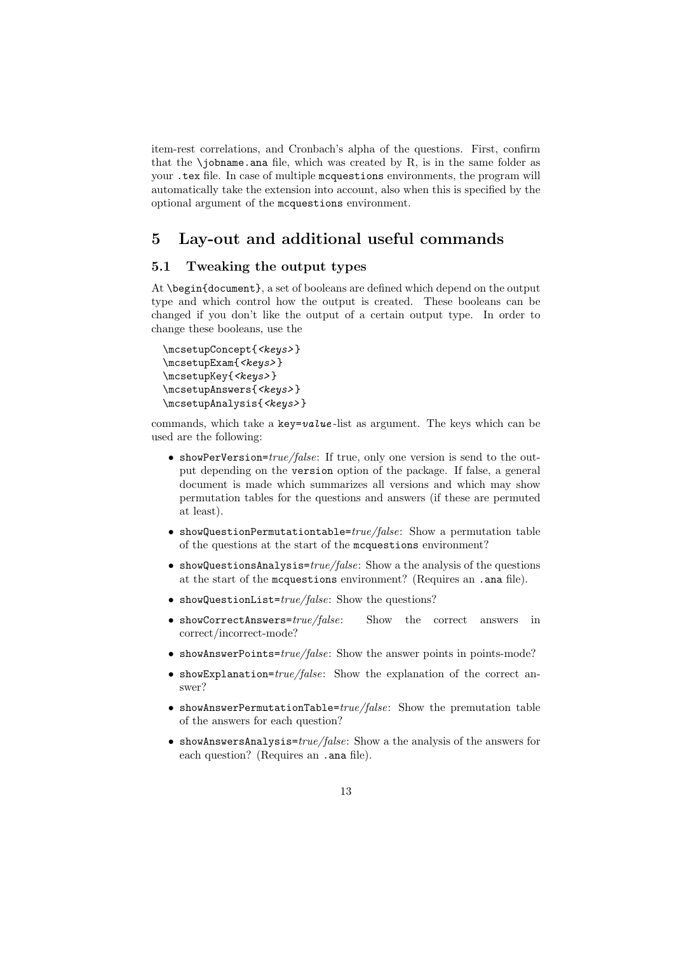item-rest correlations, and Cronbach's alpha of the questions. First, confirm that the  $\lambda$ jobname.ana file, which was created by R, is in the same folder as your .tex file. In case of multiple mcquestions environments, the program will automatically take the extension into account, also when this is specified by the optional argument of the mcquestions environment.

# 5 Lay-out and additional useful commands

### 5.1 Tweaking the output types

At \begin{document}, a set of booleans are defined which depend on the output type and which control how the output is created. These booleans can be changed if you don't like the output of a certain output type. In order to change these booleans, use the

```
\mcsetupConcept{<keys> }
\mcsetupExam{ <keys> }
\mcsetupKey{ <keys>}
\mcsetupAnswers{<keys>}
\mcsetupAnalysis{<keys>}
```
commands, which take a key=value-list as argument. The keys which can be used are the following:

- showPerVersion= $true/false$ : If true, only one version is send to the output depending on the version option of the package. If false, a general document is made which summarizes all versions and which may show permutation tables for the questions and answers (if these are permuted at least).
- showQuestionPermutationtable= $true/false$ : Show a permutation table of the questions at the start of the mcquestions environment?
- $\bullet\,$  showQuestionsAnalysis= $true/false\colon$  Show a the analysis of the questions at the start of the mcquestions environment? (Requires an .ana file).
- showQuestionList= $true/false$ : Show the questions?
- showCorrectAnswers= $true/false$ : Show the correct answers in correct/incorrect-mode?
- showAnswerPoints= $true/false$ : Show the answer points in points-mode?
- showExplanation= $true/false$ : Show the explanation of the correct answer?
- showAnswerPermutationTable= $true/false$ : Show the premutation table of the answers for each question?
- showAnswersAnalysis= $true/false$ : Show a the analysis of the answers for each question? (Requires an .ana file).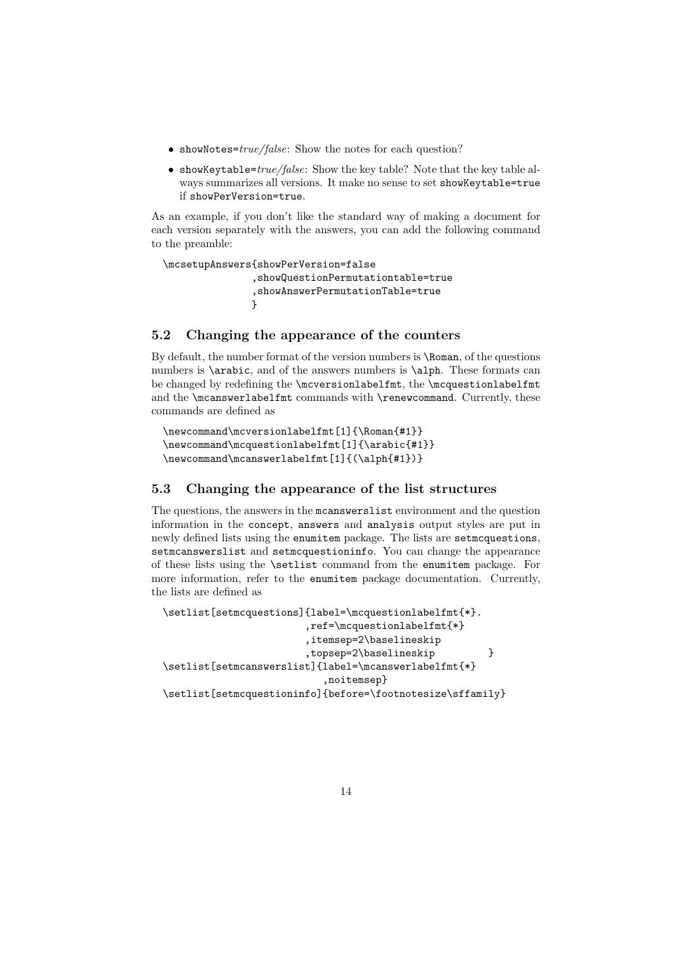- showNotes= $true/false$ : Show the notes for each question?
- showKeytable= $true/false$ : Show the key table? Note that the key table always summarizes all versions. It make no sense to set showKeytable=true if showPerVersion=true.

As an example, if you don't like the standard way of making a document for each version separately with the answers, you can add the following command to the preamble:

```
\mcsetupAnswers{showPerVersion=false
               ,showQuestionPermutationtable=true
               ,showAnswerPermutationTable=true
               }
```
## 5.2 Changing the appearance of the counters

By default, the number format of the version numbers is \Roman, of the questions numbers is \arabic, and of the answers numbers is \alph. These formats can be changed by redefining the \mcversionlabelfmt, the \mcquestionlabelfmt and the **\mcanswerlabelfmt** commands with **\renewcommand**. Currently, these commands are defined as

```
\newcommand\mcversionlabelfmt[1]{\Roman{#1}}
\newcommand\mcquestionlabelfmt[1]{\arabic{#1}}
\newcommand\mcanswerlabelfmt[1]{(\alph{#1})}
```
## 5.3 Changing the appearance of the list structures

The questions, the answers in the mcanswerslist environment and the question information in the concept, answers and analysis output styles are put in newly defined lists using the enumitem package. The lists are setmcquestions, setmcanswerslist and setmcquestioninfo. You can change the appearance of these lists using the \setlist command from the enumitem package. For more information, refer to the enumitem package documentation. Currently, the lists are defined as

```
\setlist[setmcquestions]{label=\mcquestionlabelfmt{*}.
                        ,ref=\mcquestionlabelfmt{*}
                        ,itemsep=2\baselineskip
                        ,topsep=2\baselineskip }
\setlist[setmcanswerslist]{label=\mcanswerlabelfmt{*}
                           ,noitemsep}
\setlist[setmcquestioninfo]{before=\footnotesize\sffamily}
```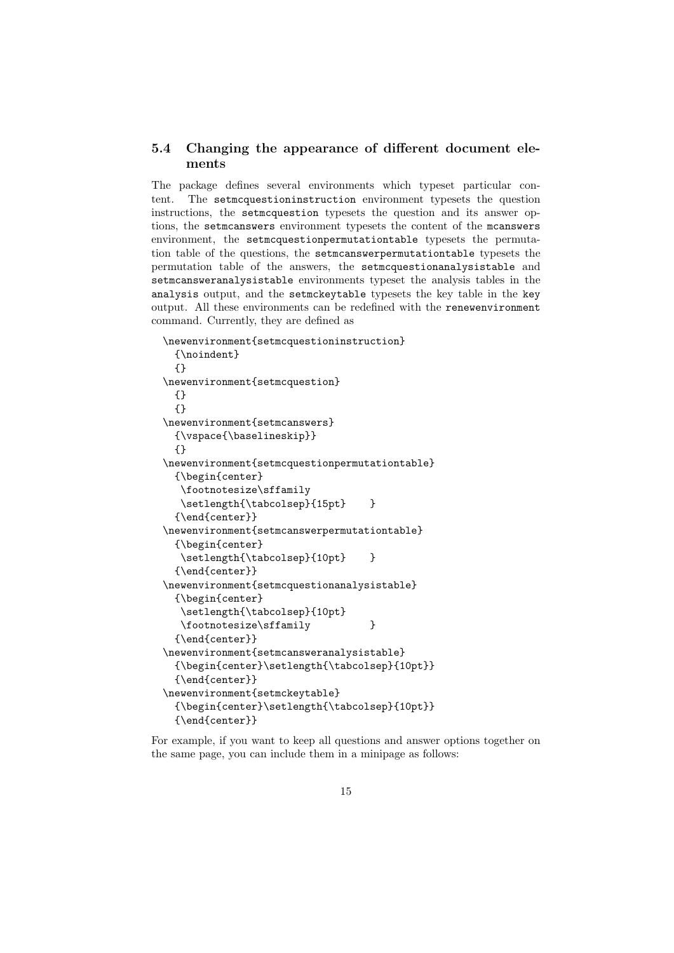## 5.4 Changing the appearance of different document elements

The package defines several environments which typeset particular content. The setmcquestioninstruction environment typesets the question instructions, the setmcquestion typesets the question and its answer options, the setmcanswers environment typesets the content of the mcanswers environment, the setmcquestionpermutationtable typesets the permutation table of the questions, the setmcanswerpermutationtable typesets the permutation table of the answers, the setmcquestionanalysistable and setmcansweranalysistable environments typeset the analysis tables in the analysis output, and the setmckeytable typesets the key table in the key output. All these environments can be redefined with the renewenvironment command. Currently, they are defined as

```
\newenvironment{setmcquestioninstruction}
  {\noindent}
  {}
\newenvironment{setmcquestion}
  {}
  {}
\newenvironment{setmcanswers}
  {\vspace{\baselineskip}}
  {}
\newenvironment{setmcquestionpermutationtable}
  {\begin{center}
  \footnotesize\sffamily
   \setlength{\tabcolsep}{15pt} }
  {\end{center}}
\newenvironment{setmcanswerpermutationtable}
  {\begin{center}
   \setlength{\tabcolsep}{10pt} }
  {\end{center}}
\newenvironment{setmcquestionanalysistable}
  {\begin{center}
   \setlength{\tabcolsep}{10pt}
   \footnotesize\sffamily }
  {\end{center}}
\newenvironment{setmcansweranalysistable}
  {\begin{center}\setlength{\tabcolsep}{10pt}}
  {\end{center}}
\newenvironment{setmckeytable}
  {\begin{center}\setlength{\tabcolsep}{10pt}}
  {\end{center}}
```
For example, if you want to keep all questions and answer options together on the same page, you can include them in a minipage as follows: